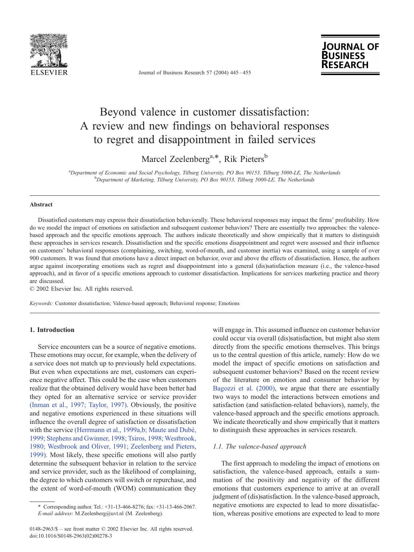

Journal of Business Research 57 (2004) 445 – 455



# Beyond valence in customer dissatisfaction: A review and new findings on behavioral responses to regret and disappointment in failed services

Marcel Zeelenberg<sup>a,\*</sup>, Rik Pieters<sup>b</sup>

<sup>a</sup>Department of Economic and Social Psychology, Tilburg University, PO Box 90153, Tilburg 5000-LE, The Netherlands<br>b Department of Marketing, Tilburg University, PO Box 90153, Tilburg 5000 LE, The Netherlands <sup>b</sup>Department of Marketing, Tilburg University, PO Box 90153, Tilburg 5000-LE, The Netherlands

#### Abstract

Dissatisfied customers may express their dissatisfaction behaviorally. These behavioral responses may impact the firms' profitability. How do we model the impact of emotions on satisfaction and subsequent customer behaviors? There are essentially two approaches: the valencebased approach and the specific emotions approach. The authors indicate theoretically and show empirically that it matters to distinguish these approaches in services research. Dissatisfaction and the specific emotions disappointment and regret were assessed and their influence on customers' behavioral responses (complaining, switching, word-of-mouth, and customer inertia) was examined, using a sample of over 900 customers. It was found that emotions have a direct impact on behavior, over and above the effects of dissatisfaction. Hence, the authors argue against incorporating emotions such as regret and disappointment into a general (dis)satisfaction measure (i.e., the valence-based approach), and in favor of a specific emotions approach to customer dissatisfaction. Implications for services marketing practice and theory are discussed.

 $\odot$  2002 Elsevier Inc. All rights reserved.

Keywords: Customer dissatisfaction; Valence-based approach; Behavioral response; Emotions

# 1. Introduction

Service encounters can be a source of negative emotions. These emotions may occur, for example, when the delivery of a service does not match up to previously held expectations. But even when expectations are met, customers can experience negative affect. This could be the case when customers realize that the obtained delivery would have been better had they opted for an alternative service or service provider [\(Inman et al., 1997; Taylor, 1997\).](#page-9-0) Obviously, the positive and negative emotions experienced in these situations will influence the overall degree of satisfaction or dissatisfaction with the service (Herrmann et al., 1999a,b; Maute and Dubé, 1999; Stephens and Gwinner, 1998; Tsiros, 1998; Westbrook, 1980; Westbrook and Oliver, 1991; Zeelenberg and Pieters, 1999). Most likely, these specific emotions will also partly determine the subsequent behavior in relation to the service and service provider, such as the likelihood of complaining, the degree to which customers will switch or repurchase, and the extent of word-of-mouth (WOM) communication they

will engage in. This assumed influence on customer behavior could occur via overall (dis)satisfaction, but might also stem directly from the specific emotions themselves. This brings us to the central question of this article, namely: How do we model the impact of specific emotions on satisfaction and subsequent customer behaviors? Based on the recent review of the literature on emotion and consumer behavior by [Bagozzi et al. \(2000\),](#page-9-0) we argue that there are essentially two ways to model the interactions between emotions and satisfaction (and satisfaction-related behaviors), namely, the valence-based approach and the specific emotions approach. We indicate theoretically and show empirically that it matters to distinguish these approaches in services research.

#### 1.1. The valence-based approach

The first approach to modeling the impact of emotions on satisfaction, the valence-based approach, entails a summation of the positivity and negativity of the different emotions that customers experience to arrive at an overall judgment of (dis)satisfaction. In the valence-based approach, negative emotions are expected to lead to more dissatisfaction, whereas positive emotions are expected to lead to more

<sup>\*</sup> Corresponding author. Tel.: +31-13-466-8276; fax: +31-13-466-2067. E-mail address: M.Zeelenberg@uvt.nl (M. Zeelenberg).

 $0148-2963/\$$  – see front matter  $\degree$  2002 Elsevier Inc. All rights reserved. doi:10.1016/S0148-2963(02)00278-3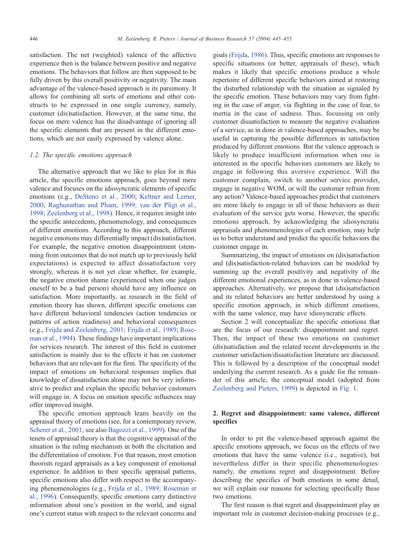satisfaction. The net (weighted) valence of the affective experience then is the balance between positive and negative emotions. The behaviors that follow are then supposed to be fully driven by this overall positivity or negativity. The main advantage of the valence-based approach is its parsimony. It allows for combining all sorts of emotions and other constructs to be expressed in one single currency, namely, customer (dis)satisfaction. However, at the same time, the focus on mere valence has the disadvantage of ignoring all the specific elements that are present in the different emotions, which are not easily expressed by valence alone.

## 1.2. The specific emotions approach

The alternative approach that we like to plea for in this article, the specific emotions approach, goes beyond mere valence and focuses on the idiosyncratic elements of specific emotions (e.g., [DeSteno et al., 2000;](#page-9-0) [Keltner and Lerner,](#page-9-0) 2000; [Raghunathan and Pham, 1999; van der Pligt et al.,](#page-10-0) 1998; Zeelenberg et al., 1998). Hence, it requires insight into the specific antecedents, phenomenology, and consequences of different emotions. According to this approach, different negative emotions may differentially impact (dis)satisfaction. For example, the negative emotion disappointment (stemming from outcomes that do not match up to previously held expectations) is expected to affect dissatisfaction very strongly, whereas it is not yet clear whether, for example, the negative emotion shame (experienced when one judges oneself to be a bad person) should have any influence on satisfaction. More importantly, as research in the field of emotion theory has shown, different specific emotions can have different behavioral tendencies (action tendencies or patterns of action readiness) and behavioral consequences (e.g., [Frijda and Zeelenberg, 2001; Frijda et al., 1989; Rose](#page-9-0)man et al., 1994). These findings have important implications for services research. The interest of this field in customer satisfaction is mainly due to the effects it has on customer behaviors that are relevant for the firm. The specificity of the impact of emotions on behavioral responses implies that knowledge of dissatisfaction alone may not be very informative to predict and explain the specific behavior customers will engage in. A focus on emotion specific influences may offer improved insight.

The specific emotion approach leans heavily on the appraisal theory of emotions (see, for a contemporary review, [Scherer et al., 2001;](#page-10-0) see also [Bagozzi et al., 1999\)](#page-9-0). One of the tenets of appraisal theory is that the cognitive appraisal of the situation is the ruling mechanism in both the elicitation and the differentiation of emotion. For that reason, most emotion theorists regard appraisals as a key component of emotional experience. In addition to their specific appraisal patterns, specific emotions also differ with respect to the accompanying phenomenologies (e.g., [Frijda et al., 1989; Roseman et](#page-9-0) al., 1996). Consequently, specific emotions carry distinctive information about one's position in the world, and signal one's current status with respect to the relevant concerns and goals [\(Frijda, 1986\).](#page-9-0) Thus, specific emotions are responses to specific situations (or better, appraisals of these), which makes it likely that specific emotions produce a whole repertoire of different specific behaviors aimed at restoring the disturbed relationship with the situation as signaled by the specific emotion. These behaviors may vary from fighting in the case of anger, via flighting in the case of fear, to inertia in the case of sadness. Thus, focussing on only customer dissatisfaction to measure the negative evaluation of a service, as in done in valence-based approaches, may be useful in capturing the possible differences in satisfaction produced by different emotions. But the valence approach is likely to produce insufficient information when one is interested in the specific behaviors customers are likely to engage in following this aversive experience. Will the customer complain, switch to another service provider, engage in negative WOM, or will the customer refrain from any action? Valence-based approaches predict that customers are more likely to engage in all of these behaviors as their evaluation of the service gets worse. However, the specific emotions approach, by acknowledging the idiosyncratic appraisals and phenomenologies of each emotion, may help us to better understand and predict the specific behaviors the customer engage in.

Summarizing, the impact of emotions on (dis)satisfaction and (dis)satisfaction-related behaviors can be modeled by summing up the overall positivity and negativity of the different emotional experiences, as in done in valence-based approaches. Alternatively, we propose that (dis)satisfaction and its related behaviors are better understood by using a specific emotion approach, in which different emotions, with the same valence, may have idiosyncratic effects.

Section 2 will conceptualize the specific emotions that are the focus of our research: disappointment and regret. Then, the impact of these two emotions on customer (dis)satisfaction and the related recent developments in the customer satisfaction/dissatisfaction literature are discussed. This is followed by a description of the conceptual model underlying the current research. As a guide for the remainder of this article, the conceptual model (adopted from [Zeelenberg and Pieters, 1999\)](#page-10-0) is depicted in [Fig. 1.](#page-2-0)

# 2. Regret and disappointment: same valence, different specifics

In order to pit the valence-based approach against the specific emotions approach, we focus on the effects of two emotions that have the same valence (i.e., negative), but nevertheless differ in their specific phenomenologies: namely, the emotions regret and disappointment. Before describing the specifics of both emotions in some detail, we will explain our reasons for selecting specifically these two emotions.

The first reason is that regret and disappointment play an important role in customer decision-making processes (e.g.,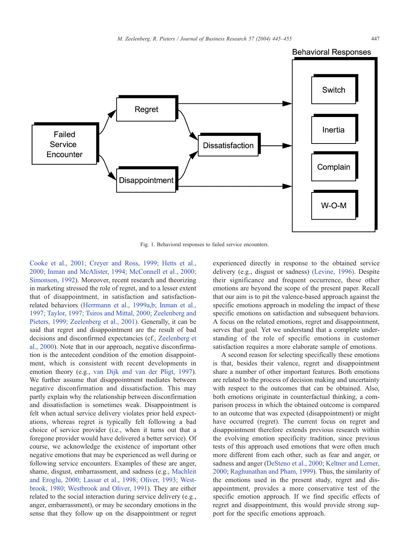<span id="page-2-0"></span>

Fig. 1. Behavioral responses to failed service encounters.

[Cooke et al., 2001; Creyer and Ross, 1999; Hetts et al.,](#page-9-0) 2000; Inman and McAlister, 1994; McConnell et al., 2000; Simonson, 1992). Moreover, recent research and theorizing in marketing stressed the role of regret, and to a lesser extent that of disappointment, in satisfaction and satisfactionrelated behaviors [\(Herrmann et al., 1999a,b; Inman et al.,](#page-9-0) 1997; Taylor, 1997; Tsiros and Mittal, 2000; Zeelenberg and Pieters, 1999; Zeelenberg et al., 2001). Generally, it can be said that regret and disappointment are the result of bad decisions and disconfirmed expectancies (cf., [Zeelenberg et](#page-10-0) al., 2000). Note that in our approach, negative disconfirmation is the antecedent condition of the emotion disappointment, which is consistent with recent developments in emotion theory (e.g., [van Dijk and van der Pligt, 1997\)](#page-10-0). We further assume that disappointment mediates between negative disconfirmation and dissatisfaction. This may partly explain why the relationship between disconfirmation and dissatisfaction is sometimes weak. Disappointment is felt when actual service delivery violates prior held expectations, whereas regret is typically felt following a bad choice of service provider (i.e., when it turns out that a foregone provider would have delivered a better service). Of course, we acknowledge the existence of important other negative emotions that may be experienced as well during or following service encounters. Examples of these are anger, shame, disgust, embarrassment, and sadness (e.g., [Machleit](#page-10-0) and Eroglu, 2000; Lassar et al., 1998; Oliver, 1993; Westbrook, 1980; Westbrook and Oliver, 1991). They are either related to the social interaction during service delivery (e.g., anger, embarrassment), or may be secondary emotions in the sense that they follow up on the disappointment or regret

experienced directly in response to the obtained service delivery (e.g., disgust or sadness) [\(Levine, 1996\).](#page-10-0) Despite their significance and frequent occurrence, these other emotions are beyond the scope of the present paper. Recall that our aim is to pit the valence-based approach against the specific emotions approach in modeling the impact of these specific emotions on satisfaction and subsequent behaviors. A focus on the related emotions, regret and disappointment, serves that goal. Yet we understand that a complete understanding of the role of specific emotions in customer satisfaction requires a more elaborate sample of emotions.

A second reason for selecting specifically these emotions is that, besides their valence, regret and disappointment share a number of other important features. Both emotions are related to the process of decision making and uncertainty with respect to the outcomes that can be obtained. Also, both emotions originate in counterfactual thinking, a comparison process in which the obtained outcome is compared to an outcome that was expected (disappointment) or might have occurred (regret). The current focus on regret and disappointment therefore extends previous research within the evolving emotion specificity tradition, since previous tests of this approach used emotions that were often much more different from each other, such as fear and anger, or sadness and anger ([DeSteno et al., 2000;](#page-9-0) [Keltner and Lerner,](#page-9-0) 2000; [Raghunathan and Pham, 1999\)](#page-10-0). Thus, the similarity of the emotions used in the present study, regret and disappointment, provides a more conservative test of the specific emotion approach. If we find specific effects of regret and disappointment, this would provide strong support for the specific emotions approach.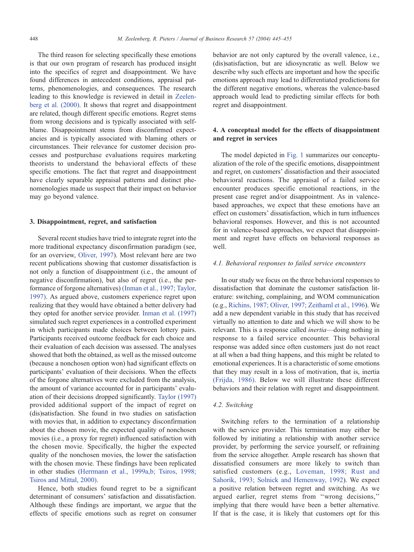The third reason for selecting specifically these emotions is that our own program of research has produced insight into the specifics of regret and disappointment. We have found differences in antecedent conditions, appraisal patterns, phenomenologies, and consequences. The research leading to this knowledge is reviewed in detail in [Zeelen](#page-10-0)berg et al. (2000). It shows that regret and disappointment are related, though different specific emotions. Regret stems from wrong decisions and is typically associated with selfblame. Disappointment stems from disconfirmed expectancies and is typically associated with blaming others or circumstances. Their relevance for customer decision processes and postpurchase evaluations requires marketing theorists to understand the behavioral effects of these specific emotions. The fact that regret and disappointment have clearly separable appraisal patterns and distinct phenomenologies made us suspect that their impact on behavior may go beyond valence.

### 3. Disappointment, regret, and satisfaction

Several recent studies have tried to integrate regret into the more traditional expectancy disconfirmation paradigm (see, for an overview, [Oliver, 1997\)](#page-10-0). Most relevant here are two recent publications showing that customer dissatisfaction is not only a function of disappointment (i.e., the amount of negative disconfirmation), but also of regret (i.e., the performance of forgone alternatives) [\(Inman et al., 1997; Taylor,](#page-9-0) 1997). As argued above, customers experience regret upon realizing that they would have obtained a better delivery had they opted for another service provider. [Inman et al. \(1997\)](#page-9-0) simulated such regret experiences in a controlled experiment in which participants made choices between lottery pairs. Participants received outcome feedback for each choice and their evaluation of each decision was assessed. The analyses showed that both the obtained, as well as the missed outcome (because a nonchosen option won) had significant effects on participants' evaluation of their decisions. When the effects of the forgone alternatives were excluded from the analysis, the amount of variance accounted for in participants' evaluation of their decisions dropped significantly. [Taylor \(1997\)](#page-10-0) provided additional support of the impact of regret on (dis)satisfaction. She found in two studies on satisfaction with movies that, in addition to expectancy disconfirmation about the chosen movie, the expected quality of nonchosen movies (i.e., a proxy for regret) influenced satisfaction with the chosen movie. Specifically, the higher the expected quality of the nonchosen movies, the lower the satisfaction with the chosen movie. These findings have been replicated in other studies [\(Herrmann et al., 1999a,b; Tsiros, 1998;](#page-9-0) Tsiros and Mittal, 2000).

Hence, both studies found regret to be a significant determinant of consumers' satisfaction and dissatisfaction. Although these findings are important, we argue that the effects of specific emotions such as regret on consumer

behavior are not only captured by the overall valence, i.e., (dis)satisfaction, but are idiosyncratic as well. Below we describe why such effects are important and how the specific emotions approach may lead to differentiated predictions for the different negative emotions, whereas the valence-based approach would lead to predicting similar effects for both regret and disappointment.

# 4. A conceptual model for the effects of disappointment and regret in services

The model depicted in [Fig. 1](#page-2-0) summarizes our conceptualization of the role of the specific emotions, disappointment and regret, on customers' dissatisfaction and their associated behavioral reactions. The appraisal of a failed service encounter produces specific emotional reactions, in the present case regret and/or disappointment. As in valencebased approaches, we expect that these emotions have an effect on customers' dissatisfaction, which in turn influences behavioral responses. However, and this is not accounted for in valence-based approaches, we expect that disappointment and regret have effects on behavioral responses as well.

#### 4.1. Behavioral responses to failed service encounters

In our study we focus on the three behavioral responses to dissatisfaction that dominate the customer satisfaction literature: switching, complaining, and WOM communication (e.g., [Richins, 1987; Oliver, 1997; Zeithaml et al., 1996\)](#page-10-0). We add a new dependent variable in this study that has received virtually no attention to date and which we will show to be relevant. This is a response called inertia—doing nothing in response to a failed service encounter. This behavioral response was added since often customers just do not react at all when a bad thing happens, and this might be related to emotional experiences. It is a characteristic of some emotions that they may result in a loss of motivation, that is, inertia [\(Frijda, 1986\).](#page-9-0) Below we will illustrate these different behaviors and their relation with regret and disappointment.

#### 4.2. Switching

Switching refers to the termination of a relationship with the service provider. This termination may either be followed by initiating a relationship with another service provider, by performing the service yourself, or refraining from the service altogether. Ample research has shown that dissatisfied consumers are more likely to switch than satisfied customers (e.g., [Loveman, 1998; Rust and](#page-10-0) Sahorik, 1993; Solnick and Hemenway, 1992). We expect a positive relation between regret and switching. As we argued earlier, regret stems from ''wrong decisions,'' implying that there would have been a better alternative. If that is the case, it is likely that customers opt for this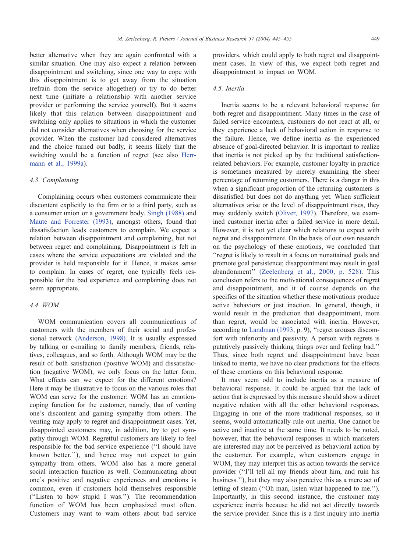better alternative when they are again confronted with a similar situation. One may also expect a relation between disappointment and switching, since one way to cope with this disappointment is to get away from the situation (refrain from the service altogether) or try to do better next time (initiate a relationship with another service provider or performing the service yourself). But it seems likely that this relation between disappointment and switching only applies to situations in which the customer did not consider alternatives when choosing for the service provider. When the customer had considered alternatives and the choice turned out badly, it seems likely that the switching would be a function of regret (see also [Herr](#page-9-0)mann et al., 1999a).

#### 4.3. Complaining

Complaining occurs when customers communicate their discontent explicitly to the firm or to a third party, such as a consumer union or a government body. [Singh \(1988\)](#page-10-0) and [Maute and Forrester \(1993\),](#page-10-0) amongst others, found that dissatisfaction leads customers to complain. We expect a relation between disappointment and complaining, but not between regret and complaining. Disappointment is felt in cases where the service expectations are violated and the provider is held responsible for it. Hence, it makes sense to complain. In cases of regret, one typically feels responsible for the bad experience and complaining does not seem appropriate.

#### 4.4. WOM

WOM communication covers all communications of customers with the members of their social and professional network [\(Anderson, 1998\).](#page-9-0) It is usually expressed by talking or e-mailing to family members, friends, relatives, colleagues, and so forth. Although WOM may be the result of both satisfaction (positive WOM) and dissatisfaction (negative WOM), we only focus on the latter form. What effects can we expect for the different emotions? Here it may be illustrative to focus on the various roles that WOM can serve for the customer: WOM has an emotioncoping function for the customer, namely, that of venting one's discontent and gaining sympathy from others. The venting may apply to regret and disappointment cases. Yet, disappointed customers may, in addition, try to get sympathy through WOM. Regretful customers are likely to feel responsible for the bad service experience (''I should have known better.''), and hence may not expect to gain sympathy from others. WOM also has a more general social interaction function as well. Communicating about one's positive and negative experiences and emotions is common, even if customers hold themselves responsible (''Listen to how stupid I was.''). The recommendation function of WOM has been emphasized most often. Customers may want to warn others about bad service

providers, which could apply to both regret and disappointment cases. In view of this, we expect both regret and disappointment to impact on WOM.

# 4.5. Inertia

Inertia seems to be a relevant behavioral response for both regret and disappointment. Many times in the case of failed service encounters, customers do not react at all, or they experience a lack of behavioral action in response to the failure. Hence, we define inertia as the experienced absence of goal-directed behavior. It is important to realize that inertia is not picked up by the traditional satisfactionrelated behaviors. For example, customer loyalty in practice is sometimes measured by merely examining the sheer percentage of returning customers. There is a danger in this when a significant proportion of the returning customers is dissatisfied but does not do anything yet. When sufficient alternatives arise or the level of disappointment rises, they may suddenly switch ([Oliver, 1997\)](#page-10-0). Therefore, we examined customer inertia after a failed service in more detail. However, it is not yet clear which relations to expect with regret and disappointment. On the basis of our own research on the psychology of these emotions, we concluded that ''regret is likely to result in a focus on nonattained goals and promote goal persistence; disappointment may result in goal abandonment'' [\(Zeelenberg et al., 2000, p. 528\).](#page-10-0) This conclusion refers to the motivational consequences of regret and disappointment, and it of course depends on the specifics of the situation whether these motivations produce active behaviors or just inaction. In general, though, it would result in the prediction that disappointment, more than regret, would be associated with inertia. However, according to [Landman \(1993,](#page-9-0) p. 9), ''regret arouses discomfort with inferiority and passivity. A person with regrets is putatively passively thinking things over and feeling bad.'' Thus, since both regret and disappointment have been linked to inertia, we have no clear predictions for the effects of these emotions on this behavioral response.

It may seem odd to include inertia as a measure of behavioral response. It could be argued that the lack of action that is expressed by this measure should show a direct negative relation with all the other behavioral responses. Engaging in one of the more traditional responses, so it seems, would automatically rule out inertia. One cannot be active and inactive at the same time. It needs to be noted, however, that the behavioral responses in which marketers are interested may not be perceived as behavioral action by the customer. For example, when customers engage in WOM, they may interpret this as action towards the service provider (''I'll tell all my friends about him, and ruin his business.''), but they may also perceive this as a mere act of letting of steam (''Oh man, listen what happened to me.''). Importantly, in this second instance, the customer may experience inertia because he did not act directly towards the service provider. Since this is a first inquiry into inertia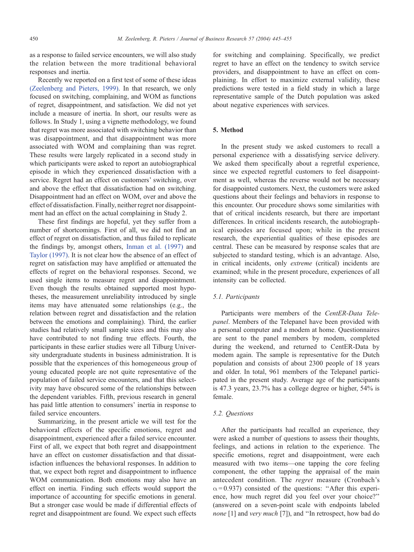as a response to failed service encounters, we will also study the relation between the more traditional behavioral responses and inertia.

Recently we reported on a first test of some of these ideas [\(Zeelenberg and Pieters, 1999\).](#page-10-0) In that research, we only focused on switching, complaining, and WOM as functions of regret, disappointment, and satisfaction. We did not yet include a measure of inertia. In short, our results were as follows. In Study 1, using a vignette methodology, we found that regret was more associated with switching behavior than was disappointment, and that disappointment was more associated with WOM and complaining than was regret. These results were largely replicated in a second study in which participants were asked to report an autobiographical episode in which they experienced dissatisfaction with a service. Regret had an effect on customers' switching, over and above the effect that dissatisfaction had on switching. Disappointment had an effect on WOM, over and above the effect of dissatisfaction. Finally, neither regret nor disappointment had an effect on the actual complaining in Study 2.

These first findings are hopeful, yet they suffer from a number of shortcomings. First of all, we did not find an effect of regret on dissatisfaction, and thus failed to replicate the findings by, amongst others, [Inman et al. \(1997\)](#page-9-0) and [Taylor \(1997\).](#page-10-0) It is not clear how the absence of an effect of regret on satisfaction may have amplified or attenuated the effects of regret on the behavioral responses. Second, we used single items to measure regret and disappointment. Even though the results obtained supported most hypotheses, the measurement unreliability introduced by single items may have attenuated some relationships (e.g., the relation between regret and dissatisfaction and the relation between the emotions and complaining). Third, the earlier studies had relatively small sample sizes and this may also have contributed to not finding true effects. Fourth, the participants in these earlier studies were all Tilburg University undergraduate students in business administration. It is possible that the experiences of this homogeneous group of young educated people are not quite representative of the population of failed service encounters, and that this selectivity may have obscured some of the relationships between the dependent variables. Fifth, previous research in general has paid little attention to consumers' inertia in response to failed service encounters.

Summarizing, in the present article we will test for the behavioral effects of the specific emotions, regret and disappointment, experienced after a failed service encounter. First of all, we expect that both regret and disappointment have an effect on customer dissatisfaction and that dissatisfaction influences the behavioral responses. In addition to that, we expect both regret and disappointment to influence WOM communication. Both emotions may also have an effect on inertia. Finding such effects would support the importance of accounting for specific emotions in general. But a stronger case would be made if differential effects of regret and disappointment are found. We expect such effects

for switching and complaining. Specifically, we predict regret to have an effect on the tendency to switch service providers, and disappointment to have an effect on complaining. In effort to maximize external validity, these predictions were tested in a field study in which a large representative sample of the Dutch population was asked about negative experiences with services.

### 5. Method

In the present study we asked customers to recall a personal experience with a dissatisfying service delivery. We asked them specifically about a regretful experience, since we expected regretful customers to feel disappointment as well, whereas the reverse would not be necessary for disappointed customers. Next, the customers were asked questions about their feelings and behaviors in response to this encounter. Our procedure shows some similarities with that of critical incidents research, but there are important differences. In critical incidents research, the autobiographical episodes are focused upon; while in the present research, the experiential qualities of these episodes are central. These can be measured by response scales that are subjected to standard testing, which is an advantage. Also, in critical incidents, only extreme (critical) incidents are examined; while in the present procedure, experiences of all intensity can be collected.

## 5.1. Participants

Participants were members of the CentER-Data Telepanel. Members of the Telepanel have been provided with a personal computer and a modem at home. Questionnaires are sent to the panel members by modem, completed during the weekend, and returned to CentER-Data by modem again. The sample is representative for the Dutch population and consists of about 2300 people of 18 years and older. In total, 961 members of the Telepanel participated in the present study. Average age of the participants is 47.3 years, 23.7% has a college degree or higher, 54% is female.

### 5.2. Questions

After the participants had recalled an experience, they were asked a number of questions to assess their thoughts, feelings, and actions in relation to the experience. The specific emotions, regret and disappointment, were each measured with two items—one tapping the core feeling component, the other tapping the appraisal of the main antecedent condition. The regret measure (Cronbach's  $\alpha$  = 0.937) consisted of the questions: "After this experience, how much regret did you feel over your choice?'' (answered on a seven-point scale with endpoints labeled none [1] and very much [7]), and ''In retrospect, how bad do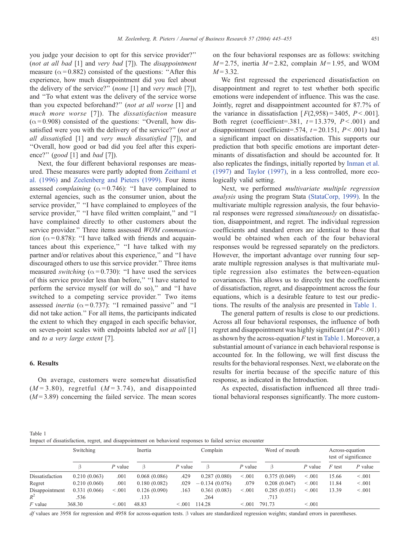you judge your decision to opt for this service provider?'' (not at all bad [1] and very bad [7]). The disappointment measure ( $\alpha$  = 0.882) consisted of the questions: "After this experience, how much disappointment did you feel about the delivery of the service?'' (none [1] and very much [7]), and ''To what extent was the delivery of the service worse than you expected beforehand?'' (not at all worse [1] and much more worse [7]). The dissatisfaction measure  $(\alpha = 0.908)$  consisted of the questions: "Overall, how dissatisfied were you with the delivery of the service?" (not at all dissatisfied [1] and very much dissatisfied [7]), and ''Overall, how good or bad did you feel after this experience?"  $(good [1]$  and *bad* [7]).

Next, the four different behavioral responses are measured. These measures were partly adopted from [Zeithaml et](#page-10-0) al. (1996) and [Zeelenberg and Pieters \(1999\).](#page-10-0) Four items assessed *complaining* ( $\alpha$ =0.746): "I have complained to external agencies, such as the consumer union, about the service provider," "I have complained to employees of the service provider," "I have filed written complaint," and "I have complained directly to other customers about the service provider." Three items assessed WOM communication ( $\alpha$ =0.878): "I have talked with friends and acquaintances about this experience,'' ''I have talked with my partner and/or relatives about this experience," and "I have discouraged others to use this service provider.'' Three items measured *switching* ( $\alpha$ =0.730): "I have used the services of this service provider less than before,'' ''I have started to perform the service myself (or will do so)," and "I have switched to a competing service provider.'' Two items assessed *inertia* ( $\alpha$ =0.737): "I remained passive" and "I did not take action.'' For all items, the participants indicated the extent to which they engaged in each specific behavior, on seven-point scales with endpoints labeled not at all [1] and to a very large extent [7].

# 6. Results

On average, customers were somewhat dissatisfied  $(M=3.80)$ , regretful  $(M=3.74)$ , and disappointed  $(M=3.89)$  concerning the failed service. The mean scores on the four behavioral responses are as follows: switching  $M=2.75$ , inertia  $M=2.82$ , complain  $M=1.95$ , and WOM  $M = 3.32$ .

We first regressed the experienced dissatisfaction on disappointment and regret to test whether both specific emotions were independent of influence. This was the case. Jointly, regret and disappointment accounted for 87.7% of the variance in dissatisfaction  $[F(2,958) = 3405, P < .001]$ . Both regret (coefficient=.381,  $t = 13.379$ ,  $P < .001$ ) and disappointment (coefficient=.574,  $t = 20.151$ ,  $P < .001$ ) had a significant impact on dissatisfaction. This supports our prediction that both specific emotions are important determinants of dissatisfaction and should be accounted for. It also replicates the findings, initially reported by [Inman et al.](#page-9-0) (1997) and [Taylor \(1997\),](#page-10-0) in a less controlled, more ecologically valid setting.

Next, we performed multivariate multiple regression analysis using the program Stata [\(StataCorp, 1999\).](#page-10-0) In the multivariate multiple regression analysis, the four behavioral responses were regressed simultaneously on dissatisfaction, disappointment, and regret. The individual regression coefficients and standard errors are identical to those that would be obtained when each of the four behavioral responses would be regressed separately on the predictors. However, the important advantage over running four separate multiple regression analyses is that multivariate multiple regression also estimates the between-equation covariances. This allows us to directly test the coefficients of dissatisfaction, regret, and disappointment across the four equations, which is a desirable feature to test our predictions. The results of the analysis are presented in Table 1.

The general pattern of results is close to our predictions. Across all four behavioral responses, the influence of both regret and disappointment was highly significant (at  $P < .001$ ) as shown by the across-equation  $F$  test in Table 1. Moreover, a substantial amount of variance in each behavioral response is accounted for. In the following, we will first discuss the results for the behavioral responses. Next, we elaborate on the results for inertia because of the specific nature of this response, as indicated in the Introduction.

As expected, dissatisfaction influenced all three traditional behavioral responses significantly. The more custom-

Table 1

Impact of dissatisfaction, regret, and disappointment on behavioral responses to failed service encounter

|                 | Switching    |           | Inertia      |         | Complain        |         | Word of mouth |         | Across-equation<br>test of significance |           |
|-----------------|--------------|-----------|--------------|---------|-----------------|---------|---------------|---------|-----------------------------------------|-----------|
|                 |              | $P$ value |              | P value | ß               | P value | ß             | P value | $F$ test                                | $P$ value |
| Dissatisfaction | 0.210(0.063) | .001      | 0.068(0.086) | .429    | 0.287(0.080)    | < 0.001 | 0.375(0.049)  | < 0.001 | 15.66                                   | < 0.001   |
| Regret          | 0.210(0.060) | .001      | 0.180(0.082) | .029    | $-0.134(0.076)$ | .079    | 0.208(0.047)  | < 0.001 | 11.84                                   | < 0.001   |
| Disappointment  | 0.331(0.066) | < 0.001   | 0.126(0.090) | .163    | 0.361(0.083)    | < 0.001 | 0.285(0.051)  | < 0.001 | 13.39                                   | < 0.001   |
| $R^2$           | .536         |           | .133         |         | .264            |         | .713          |         |                                         |           |
| $F$ value       | 368.30       | < 0.01    | 48.83        | < 0.01  | 114.28          | < 0.01  | 791.73        | < 0.001 |                                         |           |

 $df$  values are 3958 for regression and 4958 for across-equation tests.  $\beta$  values are standardized regression weights; standard errors in parentheses.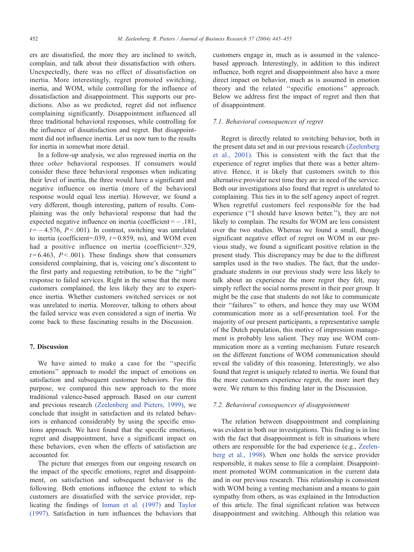ers are dissatisfied, the more they are inclined to switch, complain, and talk about their dissatisfaction with others. Unexpectedly, there was no effect of dissatisfaction on inertia. More interestingly, regret promoted switching, inertia, and WOM, while controlling for the influence of dissatisfaction and disappointment. This supports our predictions. Also as we predicted, regret did not influence complaining significantly. Disappointment influenced all three traditional behavioral responses, while controlling for the influence of dissatisfaction and regret. But disappointment did not influence inertia. Let us now turn to the results for inertia in somewhat more detail.

In a follow-up analysis, we also regressed inertia on the three other behavioral responses. If consumers would consider these three behavioral responses when indicating their level of inertia, the three would have a significant and negative influence on inertia (more of the behavioral response would equal less inertia). However, we found a very different, though interesting, pattern of results. Complaining was the only behavioral response that had the expected negative influence on inertia (coefficient  $=$   $-$  .181,  $t = -4.576$ ,  $P < .001$ ). In contrast, switching was unrelated to inertia (coefficient=.039,  $t = 0.859$ , ns), and WOM even had a positive influence on inertia (coefficient=.329,  $t = 6.463$ ,  $P < .001$ ). These findings show that consumers considered complaining, that is, voicing one's discontent to the first party and requesting retribution, to be the ''right'' response to failed services. Right in the sense that the more customers complained, the less likely they are to experience inertia. Whether customers switched services or not was unrelated to inertia. Moreover, talking to others about the failed service was even considered a sign of inertia. We come back to these fascinating results in the Discussion.

## 7. Discussion

We have aimed to make a case for the ''specific emotions'' approach to model the impact of emotions on satisfaction and subsequent customer behaviors. For this purpose, we compared this new approach to the more traditional valence-based approach. Based on our current and previous research [\(Zeelenberg and Pieters, 1999\),](#page-10-0) we conclude that insight in satisfaction and its related behaviors is enhanced considerably by using the specific emotions approach. We have found that the specific emotions, regret and disappointment, have a significant impact on these behaviors, even when the effects of satisfaction are accounted for.

The picture that emerges from our ongoing research on the impact of the specific emotions, regret and disappointment, on satisfaction and subsequent behavior is the following. Both emotions influence the extent to which customers are dissatisfied with the service provider, replicating the findings of [Inman et al. \(1997\)](#page-9-0) and [Taylor](#page-10-0) (1997). Satisfaction in turn influences the behaviors that customers engage in, much as is assumed in the valencebased approach. Interestingly, in addition to this indirect influence, both regret and disappointment also have a more direct impact on behavior, much as is assumed in emotion theory and the related ''specific emotions'' approach. Below we address first the impact of regret and then that of disappointment.

### 7.1. Behavioral consequences of regret

Regret is directly related to switching behavior, both in the present data set and in our previous research [\(Zeelenberg](#page-10-0) et al., 2001). This is consistent with the fact that the experience of regret implies that there was a better alternative. Hence, it is likely that customers switch to this alternative provider next time they are in need of the service. Both our investigations also found that regret is unrelated to complaining. This ties in to the self agency aspect of regret. When regretful customers feel responsible for the bad experience (''I should have known better.''), they are not likely to complain. The results for WOM are less consistent over the two studies. Whereas we found a small, though significant negative effect of regret on WOM in our previous study, we found a significant positive relation in the present study. This discrepancy may be due to the different samples used in the two studies. The fact, that the undergraduate students in our previous study were less likely to talk about an experience the more regret they felt, may simply reflect the social norms present in their peer group. It might be the case that students do not like to communicate their ''failures'' to others, and hence they may use WOM communication more as a self-presentation tool. For the majority of our present participants, a representative sample of the Dutch population, this motive of impression management is probably less salient. They may use WOM communication more as a venting mechanism. Future research on the different functions of WOM communication should reveal the validity of this reasoning. Interestingly, we also found that regret is uniquely related to inertia. We found that the more customers experience regret, the more inert they were. We return to this finding later in the Discussion.

#### 7.2. Behavioral consequences of disappointment

The relation between disappointment and complaining was evident in both our investigations. This finding is in line with the fact that disappointment is felt in situations where others are responsible for the bad experience (e.g., [Zeelen](#page-10-0)berg et al., 1998). When one holds the service provider responsible, it makes sense to file a complaint. Disappointment promoted WOM communication in the current data and in our previous research. This relationship is consistent with WOM being a venting mechanism and a means to gain sympathy from others, as was explained in the Introduction of this article. The final significant relation was between disappointment and switching. Although this relation was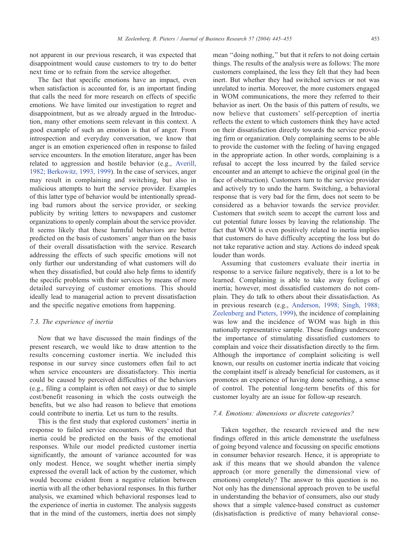not apparent in our previous research, it was expected that disappointment would cause customers to try to do better next time or to refrain from the service altogether.

The fact that specific emotions have an impact, even when satisfaction is accounted for, is an important finding that calls the need for more research on effects of specific emotions. We have limited our investigation to regret and disappointment, but as we already argued in the Introduction, many other emotions seem relevant in this context. A good example of such an emotion is that of anger. From introspection and everyday conversation, we know that anger is an emotion experienced often in response to failed service encounters. In the emotion literature, anger has been related to aggression and hostile behavior (e.g., [Averill,](#page-9-0) 1982; Berkowitz, 1993, 1999). In the case of services, anger may result in complaining and switching, but also in malicious attempts to hurt the service provider. Examples of this latter type of behavior would be intentionally spreading bad rumors about the service provider, or seeking publicity by writing letters to newspapers and customer organizations to openly complain about the service provider. It seems likely that these harmful behaviors are better predicted on the basis of customers' anger than on the basis of their overall dissatisfaction with the service. Research addressing the effects of such specific emotions will not only further our understanding of what customers will do when they dissatisfied, but could also help firms to identify the specific problems with their services by means of more detailed surveying of customer emotions. This should ideally lead to managerial action to prevent dissatisfaction and the specific negative emotions from happening.

## 7.3. The experience of inertia

Now that we have discussed the main findings of the present research, we would like to draw attention to the results concerning customer inertia. We included this response in our survey since customers often fail to act when service encounters are dissatisfactory. This inertia could be caused by perceived difficulties of the behaviors (e.g., filing a complaint is often not easy) or due to simple cost/benefit reasoning in which the costs outweigh the benefits, but we also had reason to believe that emotions could contribute to inertia. Let us turn to the results.

This is the first study that explored customers' inertia in response to failed service encounters. We expected that inertia could be predicted on the basis of the emotional responses. While our model predicted customer inertia significantly, the amount of variance accounted for was only modest. Hence, we sought whether inertia simply expressed the overall lack of action by the customer, which would become evident from a negative relation between inertia with all the other behavioral responses. In this further analysis, we examined which behavioral responses lead to the experience of inertia in customer. The analysis suggests that in the mind of the customers, inertia does not simply

mean ''doing nothing,'' but that it refers to not doing certain things. The results of the analysis were as follows: The more customers complained, the less they felt that they had been inert. But whether they had switched services or not was unrelated to inertia. Moreover, the more customers engaged in WOM communications, the more they referred to their behavior as inert. On the basis of this pattern of results, we now believe that customers' self-perception of inertia reflects the extent to which customers think they have acted on their dissatisfaction directly towards the service providing firm or organization. Only complaining seems to be able to provide the customer with the feeling of having engaged in the appropriate action. In other words, complaining is a refusal to accept the loss incurred by the failed service encounter and an attempt to achieve the original goal (in the face of obstruction). Customers turn to the service provider and actively try to undo the harm. Switching, a behavioral response that is very bad for the firm, does not seem to be considered as a behavior towards the service provider. Customers that switch seem to accept the current loss and cut potential future losses by leaving the relationship. The fact that WOM is even positively related to inertia implies that customers do have difficulty accepting the loss but do not take reparative action and stay. Actions do indeed speak louder than words.

Assuming that customers evaluate their inertia in response to a service failure negatively, there is a lot to be learned. Complaining is able to take away feelings of inertia; however, most dissatisfied customers do not complain. They do talk to others about their dissatisfaction. As in previous research (e.g., [Anderson, 1998; Singh, 1988;](#page-9-0) Zeelenberg and Pieters, 1999), the incidence of complaining was low and the incidence of WOM was high in this nationally representative sample. These findings underscore the importance of stimulating dissatisfied customers to complain and voice their dissatisfaction directly to the firm. Although the importance of complaint soliciting is well known, our results on customer inertia indicate that voicing the complaint itself is already beneficial for customers, as it promotes an experience of having done something, a sense of control. The potential long-term benefits of this for customer loyalty are an issue for follow-up research.

#### 7.4. Emotions: dimensions or discrete categories?

Taken together, the research reviewed and the new findings offered in this article demonstrate the usefulness of going beyond valence and focussing on specific emotions in consumer behavior research. Hence, it is appropriate to ask if this means that we should abandon the valence approach (or more generally the dimensional view of emotions) completely? The answer to this question is no. Not only has the dimensional approach proven to be useful in understanding the behavior of consumers, also our study shows that a simple valence-based construct as customer (dis)satisfaction is predictive of many behavioral conse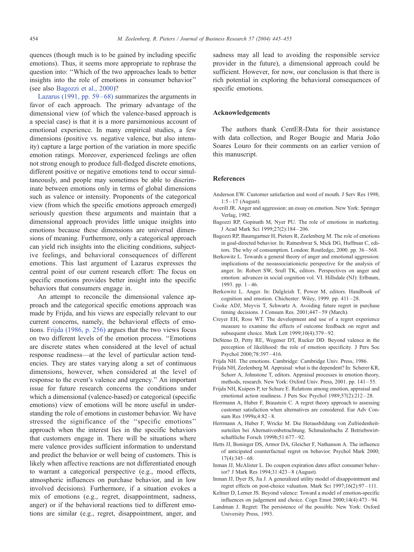<span id="page-9-0"></span>quences (though much is to be gained by including specific emotions). Thus, it seems more appropriate to rephrase the question into: ''Which of the two approaches leads to better insights into the role of emotions in consumer behavior'' (see also Bagozzi et al., 2000)?

Lazarus (1991, pp.  $59 - 68$ ) summarizes the arguments in favor of each approach. The primary advantage of the dimensional view (of which the valence-based approach is a special case) is that it is a more parsimonious account of emotional experience. In many empirical studies, a few dimensions (positive vs. negative valence, but also intensity) capture a large portion of the variation in more specific emotion ratings. Moreover, experienced feelings are often not strong enough to produce full-fledged discrete emotions, different positive or negative emotions tend to occur simultaneously, and people may sometimes be able to discriminate between emotions only in terms of global dimensions such as valence or intensity. Proponents of the categorical view (from which the specific emotions approach emerged) seriously question these arguments and maintain that a dimensional approach provides little unique insights into emotions because these dimensions are universal dimensions of meaning. Furthermore, only a categorical approach can yield rich insights into the eliciting conditions, subjective feelings, and behavioral consequences of different emotions. This last argument of Lazarus expresses the central point of our current research effort: The focus on specific emotions provides better insight into the specific behaviors that consumers engage in.

An attempt to reconcile the dimensional valence approach and the categorical specific emotions approach was made by Frijda, and his views are especially relevant to our current concerns, namely, the behavioral effects of emotions. Frijda (1986, p. 256) argues that the two views focus on two different levels of the emotion process. ''Emotions are discrete states when considered at the level of actual response readiness—at the level of particular action tendencies. They are states varying along a set of continuous dimensions, however, when considered at the level of response to the event's valence and urgency.'' An important issue for future research concerns the conditions under which a dimensional (valence-based) or categorical (specific emotions) view of emotions will be more useful in understanding the role of emotions in customer behavior. We have stressed the significance of the ''specific emotions'' approach when the interest lies in the specific behaviors that customers engage in. There will be situations where mere valence provides sufficient information to understand and predict the behavior or well being of customers. This is likely when affective reactions are not differentiated enough to warrant a categorical perspective (e.g., mood effects, atmospheric influences on purchase behavior, and in low involved decisions). Furthermore, if a situation evokes a mix of emotions (e.g., regret, disappointment, sadness, anger) or if the behavioral reactions tied to different emotions are similar (e.g., regret, disappointment, anger, and

sadness may all lead to avoiding the responsible service provider in the future), a dimensional approach could be sufficient. However, for now, our conclusion is that there is rich potential in exploring the behavioral consequences of specific emotions.

#### Acknowledgements

The authors thank CentER-Data for their assistance with data collection, and Roger Bougie and Maria João Soares Louro for their comments on an earlier version of this manuscript.

#### References

- Anderson EW. Customer satisfaction and word of mouth. J Serv Res 1998;  $1:5 - 17$  (August).
- Averill JR. Anger and aggression: an essay on emotion. New York: Springer Verlag, 1982.
- Bagozzi RP, Gopinath M, Nyer PU. The role of emotions in marketing. J Acad Mark Sci 1999;27(2):184 – 206.
- Bagozzi RP, Baumgartner H, Pieters R, Zeelenberg M. The role of emotions in goal-directed behavior. In: Ratneshwar S, Mick DG, Huffman C, editors. The why of consumption. London: Routledge, 2000. pp. 36 – 568.
- Berkowitz L. Towards a general theory of anger and emotional aggression: implications of the neoassociationictic perspective for the analysis of anger. In: Robert SW, Srull TK, editors. Perspectives on anger and emotion: advances in social cognition vol. VI. Hillsdale (NJ): Erlbaum, 1993. pp.  $1 - 46$ .
- Berkowitz L. Anger. In: Dalgleish T, Power M, editors. Handbook of cognition and emotion. Chichester: Wiley, 1999. pp. 411-28.
- Cooke ADJ, Meyvis T, Schwartz A. Avoiding future regret in purchase timing decisions. J Consum Res. 2001;447-59 (March).
- Creyer EH, Ross WT. The development and use of a regret experience measure to examine the effects of outcome feedback on regret and subsequent choice. Mark Lett 1999;10(4):379 – 92.
- DeSteno D, Petty RE, Wegener DT, Rucker DD. Beyond valence in the perception of likelihood: the role of emotion specificity. J Pers Soc Psychol 2000;78:397 – 416.
- Frijda NH. The emotions. Cambridge: Cambridge Univ. Press, 1986.
- Frijda NH, Zeelenberg M. Appraisal: what is the dependent? In: Scherer KR, Schorr A, Johnstone T, editors. Appraisal processes in emotion theory, methods, research. New York: Oxford Univ. Press, 2001. pp. 141 – 55.
- Frijda NH, Kuipers P, ter Schure E. Relations among emotion, appraisal and emotional action readiness. J Pers Soc Psychol 1989;57(2):212-28.
- Herrmann A, Huber F, Braustein C. A regret theory approach to assessing customer satisfaction when alternatives are considered. Eur Adv Consum Res 1999a; 4:82 – 8.
- Herrmann A, Huber F, Wricke M. Die Herausbildung von Zufriedenheitsurteilen bei Alternativenbetrachtung. Schmalenbachs Z Betriebswirtschaftliche Forsch 1999b;51:677 – 92.
- Hetts JJ, Boninger DS, Armor DA, Gleicher F, Nathanson A. The influence of anticipated counterfactual regret on behavior. Psychol Mark 2000;  $17(4):345 - 68.$
- Inman JJ, McAlister L. Do coupon expiration dates affect consumer behavior? J Mark Res 1994;31:423 – 8 (August).
- Inman JJ, Dyer JS, Jia J. A generalized utility model of disappointment and regret effects on post-choice valuation. Mark Sci 1997;16(2):97-111.
- Keltner D, Lerner JS. Beyond valence: Toward a model of emotion-specific influences on judgement and choice. Cogn Emot 2000;14(4):473 – 94.
- Landman J. Regret: The persistence of the possible. New York: Oxford University Press, 1993.